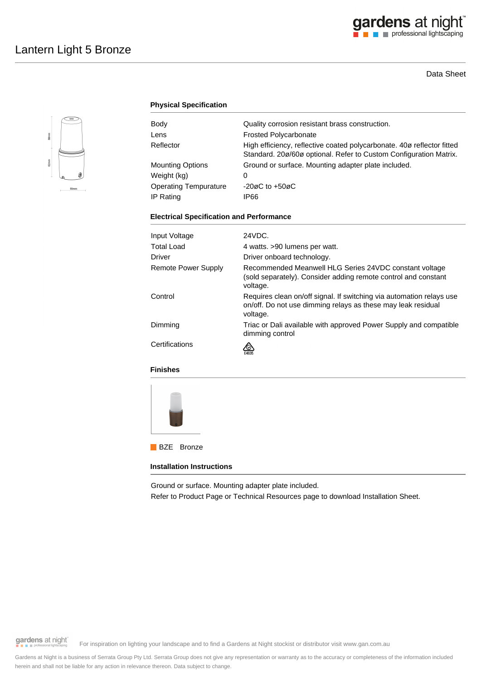# gardens at night

### Data Sheet



### **Physical Specification**

| Body                         | Quality corrosion resistant brass construction.                                                                                             |
|------------------------------|---------------------------------------------------------------------------------------------------------------------------------------------|
| Lens                         | <b>Frosted Polycarbonate</b>                                                                                                                |
| Reflector                    | High efficiency, reflective coated polycarbonate. 40ø reflector fitted<br>Standard. 20ø/60ø optional. Refer to Custom Configuration Matrix. |
| <b>Mounting Options</b>      | Ground or surface. Mounting adapter plate included.                                                                                         |
| Weight (kg)                  | 0                                                                                                                                           |
| <b>Operating Tempurature</b> | $-20\varnothing$ C to $+50\varnothing$ C                                                                                                    |
| IP Rating                    | IP66                                                                                                                                        |
|                              |                                                                                                                                             |

#### **Electrical Specification and Performance**

| Input Voltage              | 24VDC.                                                                                                                                           |
|----------------------------|--------------------------------------------------------------------------------------------------------------------------------------------------|
| Total Load                 | 4 watts. >90 lumens per watt.                                                                                                                    |
| Driver                     | Driver onboard technology.                                                                                                                       |
| <b>Remote Power Supply</b> | Recommended Meanwell HLG Series 24VDC constant voltage<br>(sold separately). Consider adding remote control and constant<br>voltage.             |
| Control                    | Requires clean on/off signal. If switching via automation relays use<br>on/off. Do not use dimming relays as these may leak residual<br>voltage. |
| Dimming                    | Triac or Dali available with approved Power Supply and compatible<br>dimming control                                                             |
| Certifications             |                                                                                                                                                  |

### **Finishes**



**BZE** Bronze

#### **Installation Instructions**

Ground or surface. Mounting adapter plate included.

Refer to Product Page or Technical Resources page to download Installation Sheet.

gardens at night

For inspiration on lighting your landscape and to find a Gardens at Night stockist or distributor visit www.gan.com.au

Gardens at Night is a business of Serrata Group Pty Ltd. Serrata Group does not give any representation or warranty as to the accuracy or completeness of the information included herein and shall not be liable for any action in relevance thereon. Data subject to change.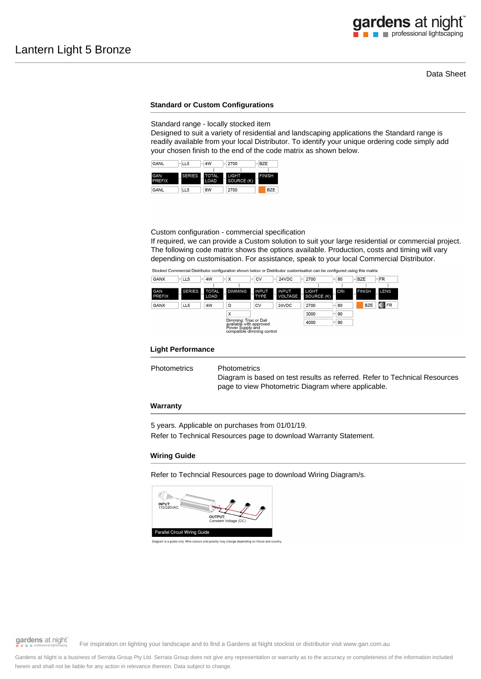# gardens at night professional lightscaping

#### Data Sheet

#### **Standard or Custom Configurations**

Standard range - locally stocked item

Designed to suit a variety of residential and landscaping applications the Standard range is readily available from your local Distributor. To identify your unique ordering code simply add your chosen finish to the end of the code matrix as shown below.



Custom configuration - commercial specification

If required, we can provide a Custom solution to suit your large residential or commercial project. The following code matrix shows the options available. Production, costs and timing will vary depending on customisation. For assistance, speak to your local Commercial Distributor.

Stocked Commercial Distributor configuration shown below or Distributor customisation can be configured using this matrix



#### **Light Performance**

Photometrics Photometrics

Diagram is based on test results as referred. Refer to Technical Resources page to view Photometric Diagram where applicable.

#### **Warranty**

5 years. Applicable on purchases from 01/01/19.

Refer to Technical Resources page to download Warranty Statement.

#### **Wiring Guide**

Refer to Techncial Resources page to download Wiring Diagram/s.



gardens at night

For inspiration on lighting your landscape and to find a Gardens at Night stockist or distributor visit www.gan.com.au

Gardens at Night is a business of Serrata Group Pty Ltd. Serrata Group does not give any representation or warranty as to the accuracy or completeness of the information included herein and shall not be liable for any action in relevance thereon. Data subject to change.